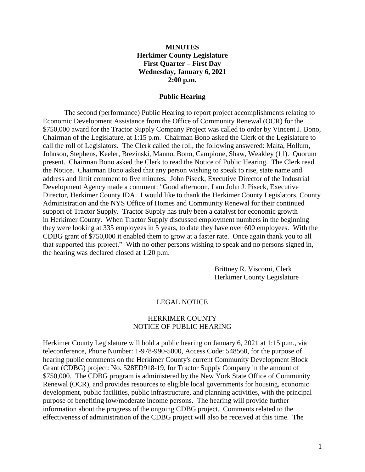#### **MINUTES Herkimer County Legislature First Quarter – First Day Wednesday, January 6, 2021 2:00 p.m.**

#### **Public Hearing**

The second (performance) Public Hearing to report project accomplishments relating to Economic Development Assistance from the Office of Community Renewal (OCR) for the \$750,000 award for the Tractor Supply Company Project was called to order by Vincent J. Bono, Chairman of the Legislature, at 1:15 p.m. Chairman Bono asked the Clerk of the Legislature to call the roll of Legislators. The Clerk called the roll, the following answered: Malta, Hollum, Johnson, Stephens, Keeler, Brezinski, Manno, Bono, Campione, Shaw, Weakley (11). Quorum present. Chairman Bono asked the Clerk to read the Notice of Public Hearing. The Clerk read the Notice. Chairman Bono asked that any person wishing to speak to rise, state name and address and limit comment to five minutes. John Piseck, Executive Director of the Industrial Development Agency made a comment: "Good afternoon, I am John J. Piseck, Executive Director, Herkimer County IDA. I would like to thank the Herkimer County Legislators, County Administration and the NYS Office of Homes and Community Renewal for their continued support of Tractor Supply. Tractor Supply has truly been a catalyst for economic growth in Herkimer County. When Tractor Supply discussed employment numbers in the beginning they were looking at 335 employees in 5 years, to date they have over 600 employees. With the CDBG grant of \$750,000 it enabled them to grow at a faster rate. Once again thank you to all that supported this project." With no other persons wishing to speak and no persons signed in, the hearing was declared closed at 1:20 p.m.

> Brittney R. Viscomi, Clerk Herkimer County Legislature

#### LEGAL NOTICE

#### HERKIMER COUNTY NOTICE OF PUBLIC HEARING

Herkimer County Legislature will hold a public hearing on January 6, 2021 at 1:15 p.m., via teleconference, Phone Number: 1-978-990-5000, Access Code: 548560, for the purpose of hearing public comments on the Herkimer County's current Community Development Block Grant (CDBG) project: No. 528ED918-19, for Tractor Supply Company in the amount of \$750,000. The CDBG program is administered by the New York State Office of Community Renewal (OCR), and provides resources to eligible local governments for housing, economic development, public facilities, public infrastructure, and planning activities, with the principal purpose of benefiting low/moderate income persons. The hearing will provide further information about the progress of the ongoing CDBG project. Comments related to the effectiveness of administration of the CDBG project will also be received at this time. The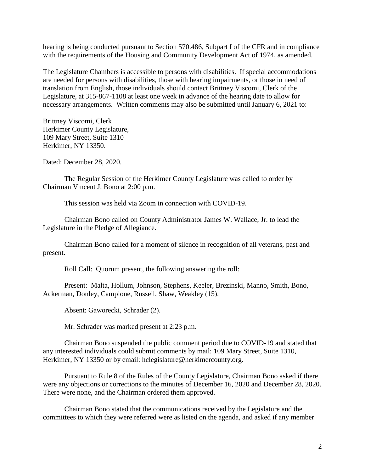hearing is being conducted pursuant to Section 570.486, Subpart I of the CFR and in compliance with the requirements of the Housing and Community Development Act of 1974, as amended.

The Legislature Chambers is accessible to persons with disabilities. If special accommodations are needed for persons with disabilities, those with hearing impairments, or those in need of translation from English, those individuals should contact Brittney Viscomi, Clerk of the Legislature, at 315-867-1108 at least one week in advance of the hearing date to allow for necessary arrangements. Written comments may also be submitted until January 6, 2021 to:

Brittney Viscomi, Clerk Herkimer County Legislature, 109 Mary Street, Suite 1310 Herkimer, NY 13350.

Dated: December 28, 2020.

The Regular Session of the Herkimer County Legislature was called to order by Chairman Vincent J. Bono at 2:00 p.m.

This session was held via Zoom in connection with COVID-19.

Chairman Bono called on County Administrator James W. Wallace, Jr. to lead the Legislature in the Pledge of Allegiance.

Chairman Bono called for a moment of silence in recognition of all veterans, past and present.

Roll Call: Quorum present, the following answering the roll:

Present: Malta, Hollum, Johnson, Stephens, Keeler, Brezinski, Manno, Smith, Bono, Ackerman, Donley, Campione, Russell, Shaw, Weakley (15).

Absent: Gaworecki, Schrader (2).

Mr. Schrader was marked present at 2:23 p.m.

Chairman Bono suspended the public comment period due to COVID-19 and stated that any interested individuals could submit comments by mail: 109 Mary Street, Suite 1310, Herkimer, NY 13350 or by email: hclegislature@herkimercounty.org.

Pursuant to Rule 8 of the Rules of the County Legislature, Chairman Bono asked if there were any objections or corrections to the minutes of December 16, 2020 and December 28, 2020. There were none, and the Chairman ordered them approved.

Chairman Bono stated that the communications received by the Legislature and the committees to which they were referred were as listed on the agenda, and asked if any member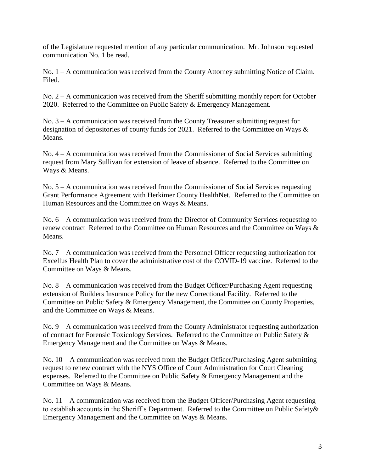of the Legislature requested mention of any particular communication. Mr. Johnson requested communication No. 1 be read.

No. 1 – A communication was received from the County Attorney submitting Notice of Claim. Filed.

No. 2 – A communication was received from the Sheriff submitting monthly report for October 2020. Referred to the Committee on Public Safety & Emergency Management.

No. 3 – A communication was received from the County Treasurer submitting request for designation of depositories of county funds for 2021. Referred to the Committee on Ways & Means.

No. 4 – A communication was received from the Commissioner of Social Services submitting request from Mary Sullivan for extension of leave of absence. Referred to the Committee on Ways & Means.

No. 5 – A communication was received from the Commissioner of Social Services requesting Grant Performance Agreement with Herkimer County HealthNet. Referred to the Committee on Human Resources and the Committee on Ways & Means.

No. 6 – A communication was received from the Director of Community Services requesting to renew contract Referred to the Committee on Human Resources and the Committee on Ways & Means.

No. 7 – A communication was received from the Personnel Officer requesting authorization for Excellus Health Plan to cover the administrative cost of the COVID-19 vaccine. Referred to the Committee on Ways & Means.

No. 8 – A communication was received from the Budget Officer/Purchasing Agent requesting extension of Builders Insurance Policy for the new Correctional Facility. Referred to the Committee on Public Safety & Emergency Management, the Committee on County Properties, and the Committee on Ways & Means.

No. 9 – A communication was received from the County Administrator requesting authorization of contract for Forensic Toxicology Services. Referred to the Committee on Public Safety & Emergency Management and the Committee on Ways & Means.

No. 10 – A communication was received from the Budget Officer/Purchasing Agent submitting request to renew contract with the NYS Office of Court Administration for Court Cleaning expenses. Referred to the Committee on Public Safety & Emergency Management and the Committee on Ways & Means.

No. 11 – A communication was received from the Budget Officer/Purchasing Agent requesting to establish accounts in the Sheriff's Department. Referred to the Committee on Public Safety& Emergency Management and the Committee on Ways & Means.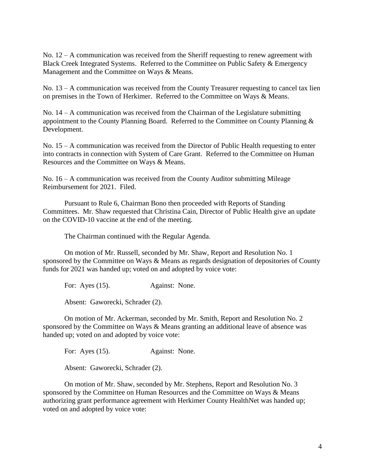No. 12 – A communication was received from the Sheriff requesting to renew agreement with Black Creek Integrated Systems. Referred to the Committee on Public Safety & Emergency Management and the Committee on Ways & Means.

No. 13 – A communication was received from the County Treasurer requesting to cancel tax lien on premises in the Town of Herkimer. Referred to the Committee on Ways & Means.

No. 14 – A communication was received from the Chairman of the Legislature submitting appointment to the County Planning Board. Referred to the Committee on County Planning & Development.

No. 15 – A communication was received from the Director of Public Health requesting to enter into contracts in connection with System of Care Grant. Referred to the Committee on Human Resources and the Committee on Ways & Means.

No.  $16 - A$  communication was received from the County Auditor submitting Mileage Reimbursement for 2021. Filed.

Pursuant to Rule 6, Chairman Bono then proceeded with Reports of Standing Committees. Mr. Shaw requested that Christina Cain, Director of Public Health give an update on the COVID-10 vaccine at the end of the meeting.

The Chairman continued with the Regular Agenda.

On motion of Mr. Russell, seconded by Mr. Shaw, Report and Resolution No. 1 sponsored by the Committee on Ways & Means as regards designation of depositories of County funds for 2021 was handed up; voted on and adopted by voice vote:

For: Ayes (15). Against: None.

Absent: Gaworecki, Schrader (2).

On motion of Mr. Ackerman, seconded by Mr. Smith, Report and Resolution No. 2 sponsored by the Committee on Ways & Means granting an additional leave of absence was handed up; voted on and adopted by voice vote:

For: Ayes (15). Against: None.

Absent: Gaworecki, Schrader (2).

On motion of Mr. Shaw, seconded by Mr. Stephens, Report and Resolution No. 3 sponsored by the Committee on Human Resources and the Committee on Ways & Means authorizing grant performance agreement with Herkimer County HealthNet was handed up; voted on and adopted by voice vote: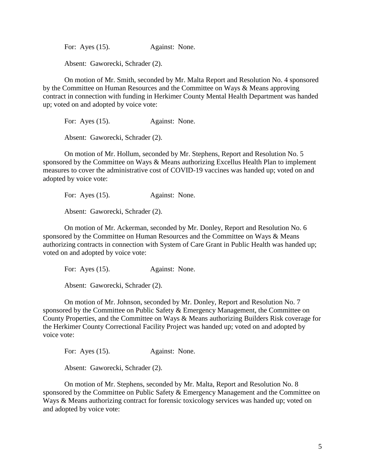For: Ayes (15). Against: None.

Absent: Gaworecki, Schrader (2).

On motion of Mr. Smith, seconded by Mr. Malta Report and Resolution No. 4 sponsored by the Committee on Human Resources and the Committee on Ways & Means approving contract in connection with funding in Herkimer County Mental Health Department was handed up; voted on and adopted by voice vote:

For: Ayes (15). Against: None.

Absent: Gaworecki, Schrader (2).

On motion of Mr. Hollum, seconded by Mr. Stephens, Report and Resolution No. 5 sponsored by the Committee on Ways & Means authorizing Excellus Health Plan to implement measures to cover the administrative cost of COVID-19 vaccines was handed up; voted on and adopted by voice vote:

For: Ayes (15). Against: None.

Absent: Gaworecki, Schrader (2).

On motion of Mr. Ackerman, seconded by Mr. Donley, Report and Resolution No. 6 sponsored by the Committee on Human Resources and the Committee on Ways & Means authorizing contracts in connection with System of Care Grant in Public Health was handed up; voted on and adopted by voice vote:

For: Ayes (15). Against: None.

Absent: Gaworecki, Schrader (2).

On motion of Mr. Johnson, seconded by Mr. Donley, Report and Resolution No. 7 sponsored by the Committee on Public Safety & Emergency Management, the Committee on County Properties, and the Committee on Ways & Means authorizing Builders Risk coverage for the Herkimer County Correctional Facility Project was handed up; voted on and adopted by voice vote:

For: Ayes (15). Against: None.

Absent: Gaworecki, Schrader (2).

On motion of Mr. Stephens, seconded by Mr. Malta, Report and Resolution No. 8 sponsored by the Committee on Public Safety & Emergency Management and the Committee on Ways & Means authorizing contract for forensic toxicology services was handed up; voted on and adopted by voice vote: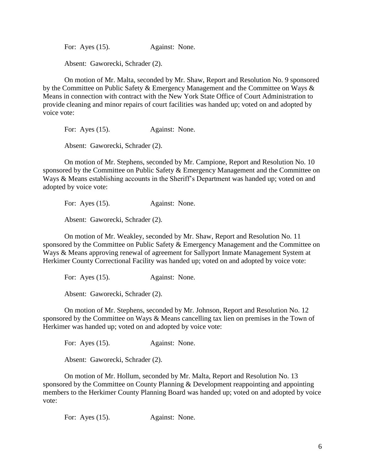For: Ayes (15). Against: None.

Absent: Gaworecki, Schrader (2).

On motion of Mr. Malta, seconded by Mr. Shaw, Report and Resolution No. 9 sponsored by the Committee on Public Safety & Emergency Management and the Committee on Ways & Means in connection with contract with the New York State Office of Court Administration to provide cleaning and minor repairs of court facilities was handed up; voted on and adopted by voice vote:

For: Ayes (15). Against: None.

Absent: Gaworecki, Schrader (2).

On motion of Mr. Stephens, seconded by Mr. Campione, Report and Resolution No. 10 sponsored by the Committee on Public Safety & Emergency Management and the Committee on Ways & Means establishing accounts in the Sheriff's Department was handed up; voted on and adopted by voice vote:

For: Ayes (15). Against: None.

Absent: Gaworecki, Schrader (2).

On motion of Mr. Weakley, seconded by Mr. Shaw, Report and Resolution No. 11 sponsored by the Committee on Public Safety & Emergency Management and the Committee on Ways & Means approving renewal of agreement for Sallyport Inmate Management System at Herkimer County Correctional Facility was handed up; voted on and adopted by voice vote:

For: Ayes (15). Against: None.

Absent: Gaworecki, Schrader (2).

On motion of Mr. Stephens, seconded by Mr. Johnson, Report and Resolution No. 12 sponsored by the Committee on Ways & Means cancelling tax lien on premises in the Town of Herkimer was handed up; voted on and adopted by voice vote:

For: Ayes (15). Against: None.

Absent: Gaworecki, Schrader (2).

On motion of Mr. Hollum, seconded by Mr. Malta, Report and Resolution No. 13 sponsored by the Committee on County Planning & Development reappointing and appointing members to the Herkimer County Planning Board was handed up; voted on and adopted by voice vote:

For: Ayes (15). Against: None.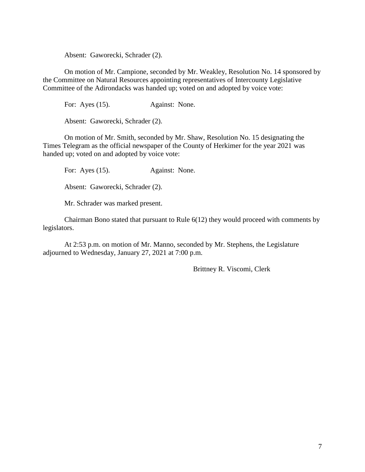Absent: Gaworecki, Schrader (2).

On motion of Mr. Campione, seconded by Mr. Weakley, Resolution No. 14 sponsored by the Committee on Natural Resources appointing representatives of Intercounty Legislative Committee of the Adirondacks was handed up; voted on and adopted by voice vote:

For: Ayes (15). Against: None.

Absent: Gaworecki, Schrader (2).

On motion of Mr. Smith, seconded by Mr. Shaw, Resolution No. 15 designating the Times Telegram as the official newspaper of the County of Herkimer for the year 2021 was handed up; voted on and adopted by voice vote:

For: Ayes (15). Against: None.

Absent: Gaworecki, Schrader (2).

Mr. Schrader was marked present.

Chairman Bono stated that pursuant to Rule 6(12) they would proceed with comments by legislators.

At 2:53 p.m. on motion of Mr. Manno, seconded by Mr. Stephens, the Legislature adjourned to Wednesday, January 27, 2021 at 7:00 p.m.

Brittney R. Viscomi, Clerk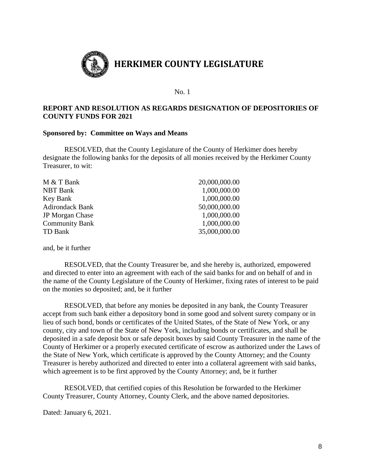

## **REPORT AND RESOLUTION AS REGARDS DESIGNATION OF DEPOSITORIES OF COUNTY FUNDS FOR 2021**

#### **Sponsored by: Committee on Ways and Means**

RESOLVED, that the County Legislature of the County of Herkimer does hereby designate the following banks for the deposits of all monies received by the Herkimer County Treasurer, to wit:

| M & T Bank             | 20,000,000.00 |
|------------------------|---------------|
| <b>NBT</b> Bank        | 1,000,000.00  |
| Key Bank               | 1,000,000.00  |
| <b>Adirondack Bank</b> | 50,000,000.00 |
| <b>JP</b> Morgan Chase | 1,000,000.00  |
| <b>Community Bank</b>  | 1,000,000.00  |
| TD Bank                | 35,000,000.00 |
|                        |               |

and, be it further

RESOLVED, that the County Treasurer be, and she hereby is, authorized, empowered and directed to enter into an agreement with each of the said banks for and on behalf of and in the name of the County Legislature of the County of Herkimer, fixing rates of interest to be paid on the monies so deposited; and, be it further

RESOLVED, that before any monies be deposited in any bank, the County Treasurer accept from such bank either a depository bond in some good and solvent surety company or in lieu of such bond, bonds or certificates of the United States, of the State of New York, or any county, city and town of the State of New York, including bonds or certificates, and shall be deposited in a safe deposit box or safe deposit boxes by said County Treasurer in the name of the County of Herkimer or a properly executed certificate of escrow as authorized under the Laws of the State of New York, which certificate is approved by the County Attorney; and the County Treasurer is hereby authorized and directed to enter into a collateral agreement with said banks, which agreement is to be first approved by the County Attorney; and, be it further

RESOLVED, that certified copies of this Resolution be forwarded to the Herkimer County Treasurer, County Attorney, County Clerk, and the above named depositories.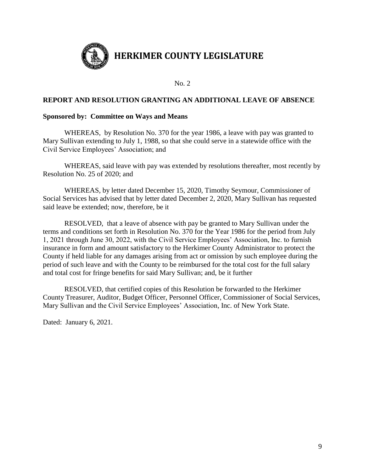

#### **REPORT AND RESOLUTION GRANTING AN ADDITIONAL LEAVE OF ABSENCE**

#### **Sponsored by: Committee on Ways and Means**

WHEREAS, by Resolution No. 370 for the year 1986, a leave with pay was granted to Mary Sullivan extending to July 1, 1988, so that she could serve in a statewide office with the Civil Service Employees' Association; and

WHEREAS, said leave with pay was extended by resolutions thereafter, most recently by Resolution No. 25 of 2020; and

WHEREAS, by letter dated December 15, 2020, Timothy Seymour, Commissioner of Social Services has advised that by letter dated December 2, 2020, Mary Sullivan has requested said leave be extended; now, therefore, be it

RESOLVED, that a leave of absence with pay be granted to Mary Sullivan under the terms and conditions set forth in Resolution No. 370 for the Year 1986 for the period from July 1, 2021 through June 30, 2022, with the Civil Service Employees' Association, Inc. to furnish insurance in form and amount satisfactory to the Herkimer County Administrator to protect the County if held liable for any damages arising from act or omission by such employee during the period of such leave and with the County to be reimbursed for the total cost for the full salary and total cost for fringe benefits for said Mary Sullivan; and, be it further

RESOLVED, that certified copies of this Resolution be forwarded to the Herkimer County Treasurer, Auditor, Budget Officer, Personnel Officer, Commissioner of Social Services, Mary Sullivan and the Civil Service Employees' Association, Inc. of New York State.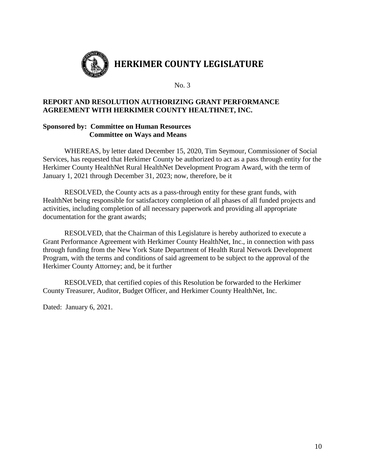

# **REPORT AND RESOLUTION AUTHORIZING GRANT PERFORMANCE AGREEMENT WITH HERKIMER COUNTY HEALTHNET, INC.**

## **Sponsored by: Committee on Human Resources Committee on Ways and Means**

WHEREAS, by letter dated December 15, 2020, Tim Seymour, Commissioner of Social Services, has requested that Herkimer County be authorized to act as a pass through entity for the Herkimer County HealthNet Rural HealthNet Development Program Award, with the term of January 1, 2021 through December 31, 2023; now, therefore, be it

RESOLVED, the County acts as a pass-through entity for these grant funds, with HealthNet being responsible for satisfactory completion of all phases of all funded projects and activities, including completion of all necessary paperwork and providing all appropriate documentation for the grant awards;

RESOLVED, that the Chairman of this Legislature is hereby authorized to execute a Grant Performance Agreement with Herkimer County HealthNet, Inc., in connection with pass through funding from the New York State Department of Health Rural Network Development Program, with the terms and conditions of said agreement to be subject to the approval of the Herkimer County Attorney; and, be it further

RESOLVED, that certified copies of this Resolution be forwarded to the Herkimer County Treasurer, Auditor, Budget Officer, and Herkimer County HealthNet, Inc.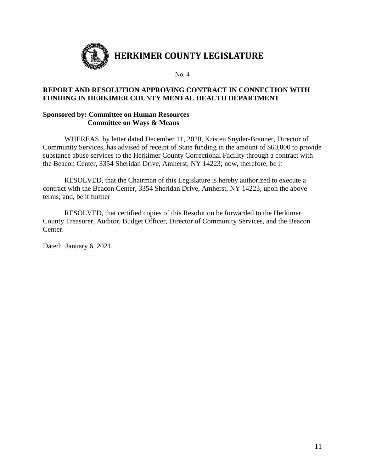

# **REPORT AND RESOLUTION APPROVING CONTRACT IN CONNECTION WITH FUNDING IN HERKIMER COUNTY MENTAL HEALTH DEPARTMENT**

#### **Sponsored by: Committee on Human Resources Committee on Ways & Means**

WHEREAS, by letter dated December 11, 2020, Kristen Snyder-Branner, Director of Community Services, has advised of receipt of State funding in the amount of \$60,000 to provide substance abuse services to the Herkimer County Correctional Facility through a contract with the Beacon Center, 3354 Sheridan Drive, Amherst, NY 14223; now, therefore, be it

RESOLVED, that the Chairman of this Legislature is hereby authorized to execute a contract with the Beacon Center, 3354 Sheridan Drive, Amherst, NY 14223, upon the above terms; and, be it further

RESOLVED, that certified copies of this Resolution be forwarded to the Herkimer County Treasurer, Auditor, Budget Officer, Director of Community Services, and the Beacon Center.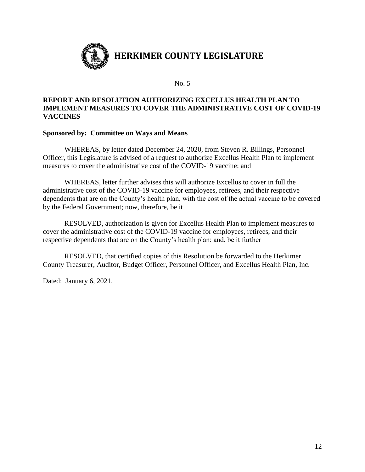

## **REPORT AND RESOLUTION AUTHORIZING EXCELLUS HEALTH PLAN TO IMPLEMENT MEASURES TO COVER THE ADMINISTRATIVE COST OF COVID-19 VACCINES**

#### **Sponsored by: Committee on Ways and Means**

WHEREAS, by letter dated December 24, 2020, from Steven R. Billings, Personnel Officer, this Legislature is advised of a request to authorize Excellus Health Plan to implement measures to cover the administrative cost of the COVID-19 vaccine; and

WHEREAS, letter further advises this will authorize Excellus to cover in full the administrative cost of the COVID-19 vaccine for employees, retirees, and their respective dependents that are on the County's health plan, with the cost of the actual vaccine to be covered by the Federal Government; now, therefore, be it

RESOLVED, authorization is given for Excellus Health Plan to implement measures to cover the administrative cost of the COVID-19 vaccine for employees, retirees, and their respective dependents that are on the County's health plan; and, be it further

RESOLVED, that certified copies of this Resolution be forwarded to the Herkimer County Treasurer, Auditor, Budget Officer, Personnel Officer, and Excellus Health Plan, Inc.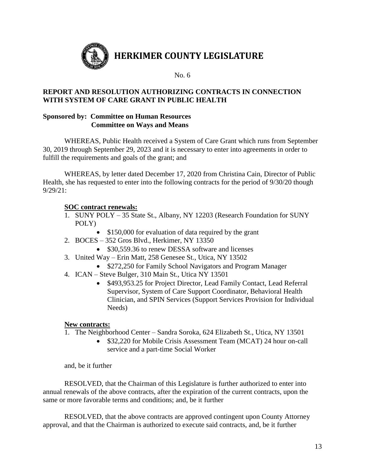

# **REPORT AND RESOLUTION AUTHORIZING CONTRACTS IN CONNECTION WITH SYSTEM OF CARE GRANT IN PUBLIC HEALTH**

## **Sponsored by: Committee on Human Resources Committee on Ways and Means**

WHEREAS, Public Health received a System of Care Grant which runs from September 30, 2019 through September 29, 2023 and it is necessary to enter into agreements in order to fulfill the requirements and goals of the grant; and

WHEREAS, by letter dated December 17, 2020 from Christina Cain, Director of Public Health, she has requested to enter into the following contracts for the period of 9/30/20 though 9/29/21:

# **SOC contract renewals:**

- 1. SUNY POLY 35 State St., Albany, NY 12203 (Research Foundation for SUNY POLY)
	- \$150,000 for evaluation of data required by the grant
- 2. BOCES 352 Gros Blvd., Herkimer, NY 13350
	- \$30,559.36 to renew DESSA software and licenses
- 3. United Way Erin Matt, 258 Genesee St., Utica, NY 13502
	- \$272,250 for Family School Navigators and Program Manager
- 4. ICAN Steve Bulger, 310 Main St., Utica NY 13501
	- \$493,953.25 for Project Director, Lead Family Contact, Lead Referral Supervisor, System of Care Support Coordinator, Behavioral Health Clinician, and SPIN Services (Support Services Provision for Individual Needs)

## **New contracts:**

- 1. The Neighborhood Center Sandra Soroka, 624 Elizabeth St., Utica, NY 13501
	- \$32,220 for Mobile Crisis Assessment Team (MCAT) 24 hour on-call service and a part-time Social Worker

and, be it further

RESOLVED, that the Chairman of this Legislature is further authorized to enter into annual renewals of the above contracts, after the expiration of the current contracts, upon the same or more favorable terms and conditions; and, be it further

RESOLVED, that the above contracts are approved contingent upon County Attorney approval, and that the Chairman is authorized to execute said contracts, and, be it further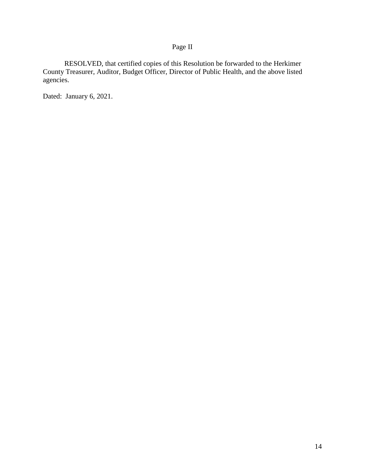# Page II

RESOLVED, that certified copies of this Resolution be forwarded to the Herkimer County Treasurer, Auditor, Budget Officer, Director of Public Health, and the above listed agencies.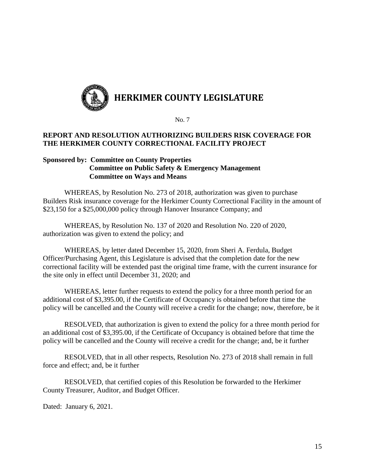

## **REPORT AND RESOLUTION AUTHORIZING BUILDERS RISK COVERAGE FOR THE HERKIMER COUNTY CORRECTIONAL FACILITY PROJECT**

#### **Sponsored by: Committee on County Properties Committee on Public Safety & Emergency Management Committee on Ways and Means**

WHEREAS, by Resolution No. 273 of 2018, authorization was given to purchase Builders Risk insurance coverage for the Herkimer County Correctional Facility in the amount of \$23,150 for a \$25,000,000 policy through Hanover Insurance Company; and

WHEREAS, by Resolution No. 137 of 2020 and Resolution No. 220 of 2020, authorization was given to extend the policy; and

WHEREAS, by letter dated December 15, 2020, from Sheri A. Ferdula, Budget Officer/Purchasing Agent, this Legislature is advised that the completion date for the new correctional facility will be extended past the original time frame, with the current insurance for the site only in effect until December 31, 2020; and

WHEREAS, letter further requests to extend the policy for a three month period for an additional cost of \$3,395.00, if the Certificate of Occupancy is obtained before that time the policy will be cancelled and the County will receive a credit for the change; now, therefore, be it

RESOLVED, that authorization is given to extend the policy for a three month period for an additional cost of \$3,395.00, if the Certificate of Occupancy is obtained before that time the policy will be cancelled and the County will receive a credit for the change; and, be it further

RESOLVED, that in all other respects, Resolution No. 273 of 2018 shall remain in full force and effect; and, be it further

RESOLVED, that certified copies of this Resolution be forwarded to the Herkimer County Treasurer, Auditor, and Budget Officer.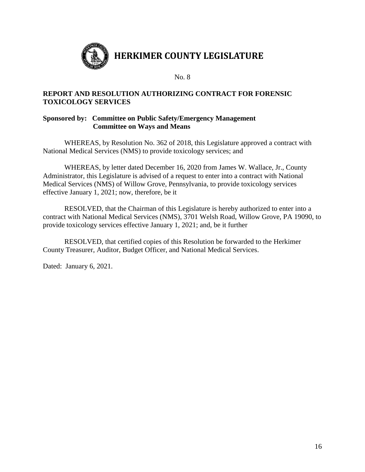

## **REPORT AND RESOLUTION AUTHORIZING CONTRACT FOR FORENSIC TOXICOLOGY SERVICES**

## **Sponsored by: Committee on Public Safety/Emergency Management Committee on Ways and Means**

WHEREAS, by Resolution No. 362 of 2018, this Legislature approved a contract with National Medical Services (NMS) to provide toxicology services; and

WHEREAS, by letter dated December 16, 2020 from James W. Wallace, Jr., County Administrator, this Legislature is advised of a request to enter into a contract with National Medical Services (NMS) of Willow Grove, Pennsylvania, to provide toxicology services effective January 1, 2021; now, therefore, be it

RESOLVED, that the Chairman of this Legislature is hereby authorized to enter into a contract with National Medical Services (NMS), 3701 Welsh Road, Willow Grove, PA 19090, to provide toxicology services effective January 1, 2021; and, be it further

RESOLVED, that certified copies of this Resolution be forwarded to the Herkimer County Treasurer, Auditor, Budget Officer, and National Medical Services.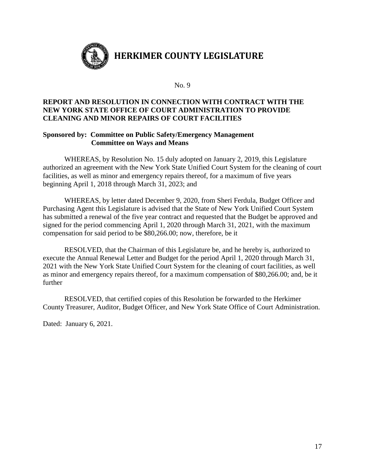

## **REPORT AND RESOLUTION IN CONNECTION WITH CONTRACT WITH THE NEW YORK STATE OFFICE OF COURT ADMINISTRATION TO PROVIDE CLEANING AND MINOR REPAIRS OF COURT FACILITIES**

#### **Sponsored by: Committee on Public Safety/Emergency Management Committee on Ways and Means**

WHEREAS, by Resolution No. 15 duly adopted on January 2, 2019, this Legislature authorized an agreement with the New York State Unified Court System for the cleaning of court facilities, as well as minor and emergency repairs thereof, for a maximum of five years beginning April 1, 2018 through March 31, 2023; and

WHEREAS, by letter dated December 9, 2020, from Sheri Ferdula, Budget Officer and Purchasing Agent this Legislature is advised that the State of New York Unified Court System has submitted a renewal of the five year contract and requested that the Budget be approved and signed for the period commencing April 1, 2020 through March 31, 2021, with the maximum compensation for said period to be \$80,266.00; now, therefore, be it

RESOLVED, that the Chairman of this Legislature be, and he hereby is, authorized to execute the Annual Renewal Letter and Budget for the period April 1, 2020 through March 31, 2021 with the New York State Unified Court System for the cleaning of court facilities, as well as minor and emergency repairs thereof, for a maximum compensation of \$80,266.00; and, be it further

RESOLVED, that certified copies of this Resolution be forwarded to the Herkimer County Treasurer, Auditor, Budget Officer, and New York State Office of Court Administration.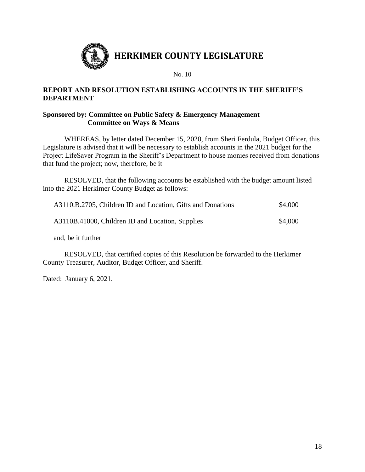

# **REPORT AND RESOLUTION ESTABLISHING ACCOUNTS IN THE SHERIFF'S DEPARTMENT**

## **Sponsored by: Committee on Public Safety & Emergency Management Committee on Ways & Means**

WHEREAS, by letter dated December 15, 2020, from Sheri Ferdula, Budget Officer, this Legislature is advised that it will be necessary to establish accounts in the 2021 budget for the Project LifeSaver Program in the Sheriff's Department to house monies received from donations that fund the project; now, therefore, be it

RESOLVED, that the following accounts be established with the budget amount listed into the 2021 Herkimer County Budget as follows:

| A3110.B.2705, Children ID and Location, Gifts and Donations | \$4,000 |
|-------------------------------------------------------------|---------|
| A3110B.41000, Children ID and Location, Supplies            | \$4,000 |

and, be it further

RESOLVED, that certified copies of this Resolution be forwarded to the Herkimer County Treasurer, Auditor, Budget Officer, and Sheriff.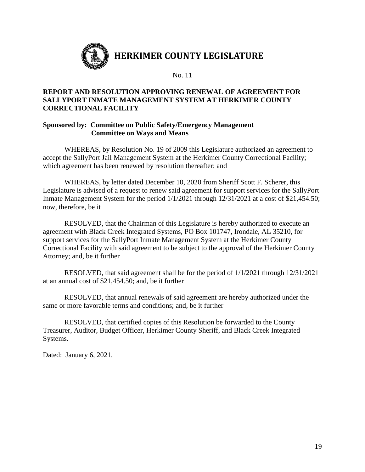

## **REPORT AND RESOLUTION APPROVING RENEWAL OF AGREEMENT FOR SALLYPORT INMATE MANAGEMENT SYSTEM AT HERKIMER COUNTY CORRECTIONAL FACILITY**

#### **Sponsored by: Committee on Public Safety/Emergency Management Committee on Ways and Means**

WHEREAS, by Resolution No. 19 of 2009 this Legislature authorized an agreement to accept the SallyPort Jail Management System at the Herkimer County Correctional Facility; which agreement has been renewed by resolution thereafter; and

WHEREAS, by letter dated December 10, 2020 from Sheriff Scott F. Scherer, this Legislature is advised of a request to renew said agreement for support services for the SallyPort Inmate Management System for the period 1/1/2021 through 12/31/2021 at a cost of \$21,454.50; now, therefore, be it

RESOLVED, that the Chairman of this Legislature is hereby authorized to execute an agreement with Black Creek Integrated Systems, PO Box 101747, Irondale, AL 35210, for support services for the SallyPort Inmate Management System at the Herkimer County Correctional Facility with said agreement to be subject to the approval of the Herkimer County Attorney; and, be it further

RESOLVED, that said agreement shall be for the period of 1/1/2021 through 12/31/2021 at an annual cost of \$21,454.50; and, be it further

RESOLVED, that annual renewals of said agreement are hereby authorized under the same or more favorable terms and conditions; and, be it further

RESOLVED, that certified copies of this Resolution be forwarded to the County Treasurer, Auditor, Budget Officer, Herkimer County Sheriff, and Black Creek Integrated Systems.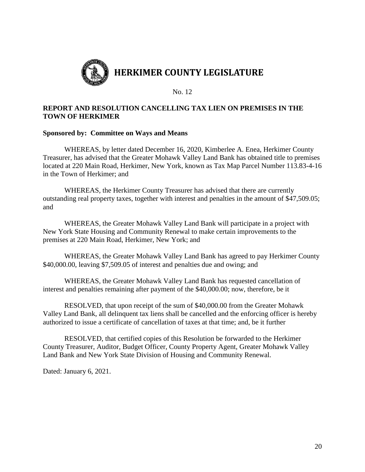

## **REPORT AND RESOLUTION CANCELLING TAX LIEN ON PREMISES IN THE TOWN OF HERKIMER**

#### **Sponsored by: Committee on Ways and Means**

WHEREAS, by letter dated December 16, 2020, Kimberlee A. Enea, Herkimer County Treasurer, has advised that the Greater Mohawk Valley Land Bank has obtained title to premises located at 220 Main Road, Herkimer, New York, known as Tax Map Parcel Number 113.83-4-16 in the Town of Herkimer; and

WHEREAS, the Herkimer County Treasurer has advised that there are currently outstanding real property taxes, together with interest and penalties in the amount of \$47,509.05; and

WHEREAS, the Greater Mohawk Valley Land Bank will participate in a project with New York State Housing and Community Renewal to make certain improvements to the premises at 220 Main Road, Herkimer, New York; and

WHEREAS, the Greater Mohawk Valley Land Bank has agreed to pay Herkimer County \$40,000.00, leaving \$7,509.05 of interest and penalties due and owing; and

WHEREAS, the Greater Mohawk Valley Land Bank has requested cancellation of interest and penalties remaining after payment of the \$40,000.00; now, therefore, be it

RESOLVED, that upon receipt of the sum of \$40,000.00 from the Greater Mohawk Valley Land Bank, all delinquent tax liens shall be cancelled and the enforcing officer is hereby authorized to issue a certificate of cancellation of taxes at that time; and, be it further

RESOLVED, that certified copies of this Resolution be forwarded to the Herkimer County Treasurer, Auditor, Budget Officer, County Property Agent, Greater Mohawk Valley Land Bank and New York State Division of Housing and Community Renewal.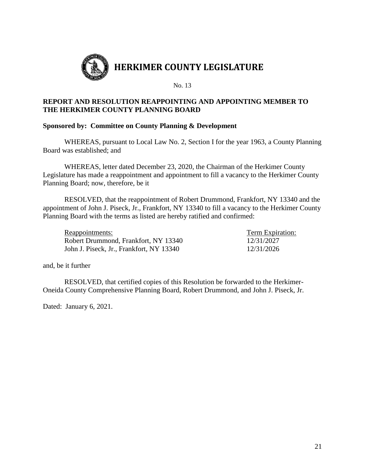

## **REPORT AND RESOLUTION REAPPOINTING AND APPOINTING MEMBER TO THE HERKIMER COUNTY PLANNING BOARD**

#### **Sponsored by: Committee on County Planning & Development**

WHEREAS, pursuant to Local Law No. 2, Section I for the year 1963, a County Planning Board was established; and

WHEREAS, letter dated December 23, 2020, the Chairman of the Herkimer County Legislature has made a reappointment and appointment to fill a vacancy to the Herkimer County Planning Board; now, therefore, be it

RESOLVED, that the reappointment of Robert Drummond, Frankfort, NY 13340 and the appointment of John J. Piseck, Jr., Frankfort, NY 13340 to fill a vacancy to the Herkimer County Planning Board with the terms as listed are hereby ratified and confirmed:

Reappointments: Term Expiration: Robert Drummond, Frankfort, NY 13340 12/31/2027 John J. Piseck, Jr., Frankfort, NY 13340 12/31/2026

and, be it further

RESOLVED, that certified copies of this Resolution be forwarded to the Herkimer-Oneida County Comprehensive Planning Board, Robert Drummond, and John J. Piseck, Jr.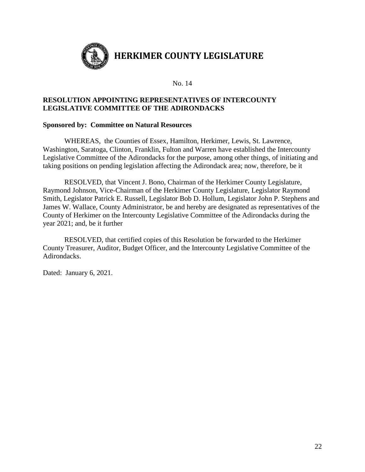

### **RESOLUTION APPOINTING REPRESENTATIVES OF INTERCOUNTY LEGISLATIVE COMMITTEE OF THE ADIRONDACKS**

#### **Sponsored by: Committee on Natural Resources**

WHEREAS, the Counties of Essex, Hamilton, Herkimer, Lewis, St. Lawrence, Washington, Saratoga, Clinton, Franklin, Fulton and Warren have established the Intercounty Legislative Committee of the Adirondacks for the purpose, among other things, of initiating and taking positions on pending legislation affecting the Adirondack area; now, therefore, be it

RESOLVED, that Vincent J. Bono, Chairman of the Herkimer County Legislature, Raymond Johnson, Vice-Chairman of the Herkimer County Legislature, Legislator Raymond Smith, Legislator Patrick E. Russell, Legislator Bob D. Hollum, Legislator John P. Stephens and James W. Wallace, County Administrator, be and hereby are designated as representatives of the County of Herkimer on the Intercounty Legislative Committee of the Adirondacks during the year 2021; and, be it further

RESOLVED, that certified copies of this Resolution be forwarded to the Herkimer County Treasurer, Auditor, Budget Officer, and the Intercounty Legislative Committee of the Adirondacks.